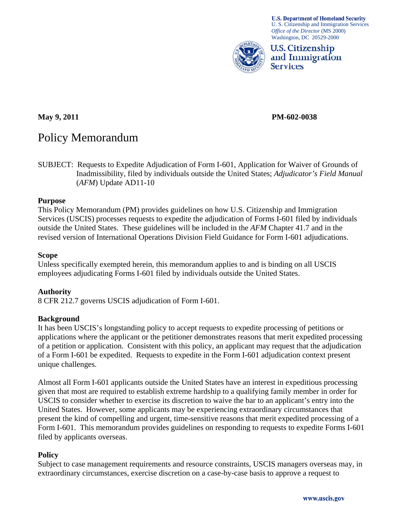

**U.S. Department of Homeland Security** U. S. Citizenship and Immigration Services *Office of the Director* (MS 2000) Washington, DC 20529-2000

U.S. Citizenship and Immigration **Services** 

#### **May 9, 2011 PM-602-0038**

# Policy Memorandum

SUBJECT: Requests to Expedite Adjudication of Form I-601, Application for Waiver of Grounds of Inadmissibility, filed by individuals outside the United States; *Adjudicator's Field Manual* (*AFM*) Update AD11-10

#### **Purpose**

This Policy Memorandum (PM) provides guidelines on how U.S. Citizenship and Immigration Services (USCIS) processes requests to expedite the adjudication of Forms I-601 filed by individuals outside the United States. These guidelines will be included in the *AFM* Chapter 41.7 and in the revised version of International Operations Division Field Guidance for Form I-601 adjudications.

#### **Scope**

Unless specifically exempted herein, this memorandum applies to and is binding on all USCIS employees adjudicating Forms I-601 filed by individuals outside the United States.

#### **Authority**

8 CFR 212.7 governs USCIS adjudication of Form I-601.

#### **Background**

It has been USCIS's longstanding policy to accept requests to expedite processing of petitions or applications where the applicant or the petitioner demonstrates reasons that merit expedited processing of a petition or application. Consistent with this policy, an applicant may request that the adjudication of a Form I-601 be expedited. Requests to expedite in the Form I-601 adjudication context present unique challenges.

Almost all Form I-601 applicants outside the United States have an interest in expeditious processing given that most are required to establish extreme hardship to a qualifying family member in order for USCIS to consider whether to exercise its discretion to waive the bar to an applicant's entry into the United States. However, some applicants may be experiencing extraordinary circumstances that present the kind of compelling and urgent, time-sensitive reasons that merit expedited processing of a Form I-601. This memorandum provides guidelines on responding to requests to expedite Forms I-601 filed by applicants overseas.

#### **Policy**

Subject to case management requirements and resource constraints, USCIS managers overseas may, in extraordinary circumstances, exercise discretion on a case-by-case basis to approve a request to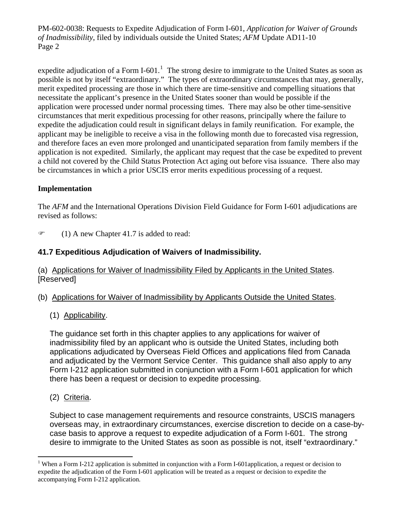expedite adjudication of a Form I-60[1](#page-1-0).<sup>1</sup> The strong desire to immigrate to the United States as soon as possible is not by itself "extraordinary." The types of extraordinary circumstances that may, generally, merit expedited processing are those in which there are time-sensitive and compelling situations that necessitate the applicant's presence in the United States sooner than would be possible if the application were processed under normal processing times. There may also be other time-sensitive circumstances that merit expeditious processing for other reasons, principally where the failure to expedite the adjudication could result in significant delays in family reunification. For example, the applicant may be ineligible to receive a visa in the following month due to forecasted visa regression, and therefore faces an even more prolonged and unanticipated separation from family members if the application is not expedited. Similarly, the applicant may request that the case be expedited to prevent a child not covered by the Child Status Protection Act aging out before visa issuance. There also may be circumstances in which a prior USCIS error merits expeditious processing of a request.

# **Implementation**

The *AFM* and the International Operations Division Field Guidance for Form I-601 adjudications are revised as follows:

 $\mathcal{F}$  (1) A new Chapter 41.7 is added to read:

# **41.7 Expeditious Adjudication of Waivers of Inadmissibility.**

#### (a) Applications for Waiver of Inadmissibility Filed by Applicants in the United States. [Reserved]

(b) Applications for Waiver of Inadmissibility by Applicants Outside the United States.

# (1) Applicability.

The guidance set forth in this chapter applies to any applications for waiver of inadmissibility filed by an applicant who is outside the United States, including both applications adjudicated by Overseas Field Offices and applications filed from Canada and adjudicated by the Vermont Service Center. This guidance shall also apply to any Form I-212 application submitted in conjunction with a Form I-601 application for which there has been a request or decision to expedite processing.

(2) Criteria.

 $\overline{a}$ 

Subject to case management requirements and resource constraints, USCIS managers overseas may, in extraordinary circumstances, exercise discretion to decide on a case-bycase basis to approve a request to expedite adjudication of a Form I-601. The strong desire to immigrate to the United States as soon as possible is not, itself "extraordinary."

<span id="page-1-0"></span><sup>&</sup>lt;sup>1</sup> When a Form I-212 application is submitted in conjunction with a Form I-601 application, a request or decision to expedite the adjudication of the Form I-601 application will be treated as a request or decision to expedite the accompanying Form I-212 application.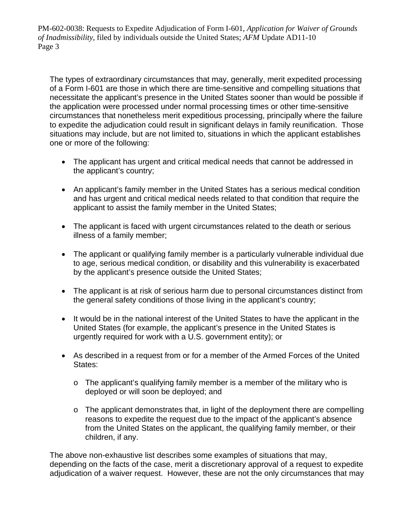The types of extraordinary circumstances that may, generally, merit expedited processing of a Form I-601 are those in which there are time-sensitive and compelling situations that necessitate the applicant's presence in the United States sooner than would be possible if the application were processed under normal processing times or other time-sensitive circumstances that nonetheless merit expeditious processing, principally where the failure to expedite the adjudication could result in significant delays in family reunification. Those situations may include, but are not limited to, situations in which the applicant establishes one or more of the following:

- The applicant has urgent and critical medical needs that cannot be addressed in the applicant's country;
- An applicant's family member in the United States has a serious medical condition and has urgent and critical medical needs related to that condition that require the applicant to assist the family member in the United States;
- The applicant is faced with urgent circumstances related to the death or serious illness of a family member;
- The applicant or qualifying family member is a particularly vulnerable individual due to age, serious medical condition, or disability and this vulnerability is exacerbated by the applicant's presence outside the United States;
- The applicant is at risk of serious harm due to personal circumstances distinct from the general safety conditions of those living in the applicant's country;
- It would be in the national interest of the United States to have the applicant in the United States (for example, the applicant's presence in the United States is urgently required for work with a U.S. government entity); or
- As described in a request from or for a member of the Armed Forces of the United States:
	- o The applicant's qualifying family member is a member of the military who is deployed or will soon be deployed; and
	- $\circ$  The applicant demonstrates that, in light of the deployment there are compelling reasons to expedite the request due to the impact of the applicant's absence from the United States on the applicant, the qualifying family member, or their children, if any.

The above non-exhaustive list describes some examples of situations that may, depending on the facts of the case, merit a discretionary approval of a request to expedite adjudication of a waiver request. However, these are not the only circumstances that may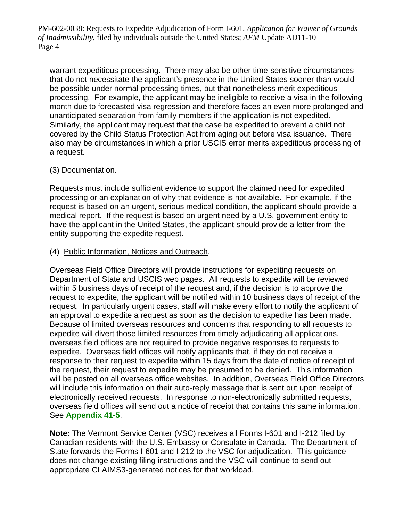warrant expeditious processing. There may also be other time-sensitive circumstances that do not necessitate the applicant's presence in the United States sooner than would be possible under normal processing times, but that nonetheless merit expeditious processing. For example, the applicant may be ineligible to receive a visa in the following month due to forecasted visa regression and therefore faces an even more prolonged and unanticipated separation from family members if the application is not expedited. Similarly, the applicant may request that the case be expedited to prevent a child not covered by the Child Status Protection Act from aging out before visa issuance. There also may be circumstances in which a prior USCIS error merits expeditious processing of a request.

# (3) Documentation.

Requests must include sufficient evidence to support the claimed need for expedited processing or an explanation of why that evidence is not available. For example, if the request is based on an urgent, serious medical condition, the applicant should provide a medical report. If the request is based on urgent need by a U.S. government entity to have the applicant in the United States, the applicant should provide a letter from the entity supporting the expedite request.

#### (4) Public Information, Notices and Outreach.

Overseas Field Office Directors will provide instructions for expediting requests on Department of State and USCIS web pages. All requests to expedite will be reviewed within 5 business days of receipt of the request and, if the decision is to approve the request to expedite, the applicant will be notified within 10 business days of receipt of the request. In particularly urgent cases, staff will make every effort to notify the applicant of an approval to expedite a request as soon as the decision to expedite has been made. Because of limited overseas resources and concerns that responding to all requests to expedite will divert those limited resources from timely adjudicating all applications, overseas field offices are not required to provide negative responses to requests to expedite. Overseas field offices will notify applicants that, if they do not receive a response to their request to expedite within 15 days from the date of notice of receipt of the request, their request to expedite may be presumed to be denied. This information will be posted on all overseas office websites. In addition, Overseas Field Office Directors will include this information on their auto-reply message that is sent out upon receipt of electronically received requests. In response to non-electronically submitted requests, overseas field offices will send out a notice of receipt that contains this same information. See **Appendix 41-5**.

**Note:** The Vermont Service Center (VSC) receives all Forms I-601 and I-212 filed by Canadian residents with the U.S. Embassy or Consulate in Canada. The Department of State forwards the Forms I-601 and I-212 to the VSC for adjudication. This guidance does not change existing filing instructions and the VSC will continue to send out appropriate CLAIMS3-generated notices for that workload.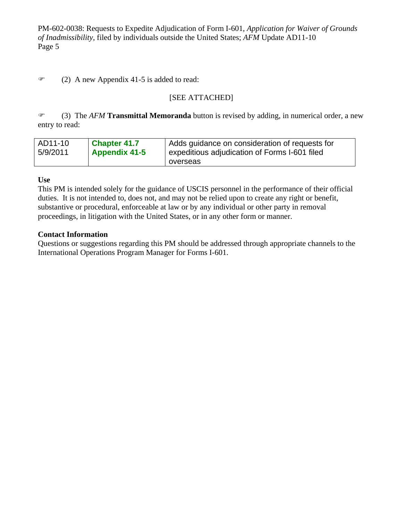$\mathcal{F}$  (2) A new Appendix 41-5 is added to read:

# [SEE ATTACHED]

 (3) The *AFM* **Transmittal Memoranda** button is revised by adding, in numerical order, a new entry to read:

| AD11-10  | <b>Chapter 41.7</b>  | Adds guidance on consideration of requests for |
|----------|----------------------|------------------------------------------------|
| 5/9/2011 | <b>Appendix 41-5</b> | expeditious adjudication of Forms I-601 filed  |
|          |                      | overseas                                       |

#### **Use**

This PM is intended solely for the guidance of USCIS personnel in the performance of their official duties. It is not intended to, does not, and may not be relied upon to create any right or benefit, substantive or procedural, enforceable at law or by any individual or other party in removal proceedings, in litigation with the United States, or in any other form or manner.

#### **Contact Information**

Questions or suggestions regarding this PM should be addressed through appropriate channels to the International Operations Program Manager for Forms I-601.